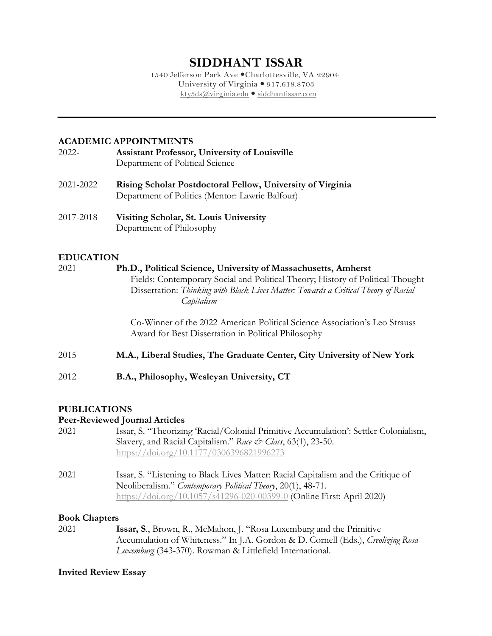# **SIDDHANT ISSAR**

1540 Jefferson Park Ave Charlottesville, VA 22904 University of Virginia  $\bullet$  917.618.8703 kty3ds@virginia.edu  $\bullet$  siddhantissar.com

# **ACADEMIC APPOINTMENTS**

- 2022- **Assistant Professor, University of Louisville** Department of Political Science
- 2021-2022 **Rising Scholar Postdoctoral Fellow, University of Virginia** Department of Politics (Mentor: Lawrie Balfour)
- 2017-2018 **Visiting Scholar, St. Louis University** Department of Philosophy

# **EDUCATION**

2021 **Ph.D., Political Science, University of Massachusetts, Amherst** Fields: Contemporary Social and Political Theory; History of Political Thought Dissertation: *Thinking with Black Lives Matter: Towards a Critical Theory of Racial Capitalism*

> Co-Winner of the 2022 American Political Science Association's Leo Strauss Award for Best Dissertation in Political Philosophy

- 2015 **M.A., Liberal Studies, The Graduate Center, City University of New York**
- 2012 **B.A., Philosophy, Wesleyan University, CT**

# **PUBLICATIONS**

# **Peer-Reviewed Journal Articles**

- 2021 Issar, S. "Theorizing 'Racial/Colonial Primitive Accumulation': Settler Colonialism, Slavery, and Racial Capitalism." *Race & Class*, 63(1), 23-50. https://doi.org/10.1177/0306396821996273
- 2021 Issar, S. "Listening to Black Lives Matter: Racial Capitalism and the Critique of Neoliberalism." *Contemporary Political Theory*, 20(1), 48-71. https://doi.org/10.1057/s41296-020-00399-0 (Online First: April 2020)

# **Book Chapters**

2021 **Issar, S**., Brown, R., McMahon, J. "Rosa Luxemburg and the Primitive Accumulation of Whiteness." In J.A. Gordon & D. Cornell (Eds.), *Creolizing Rosa Luxemburg* (343-370). Rowman & Littlefield International.

# **Invited Review Essay**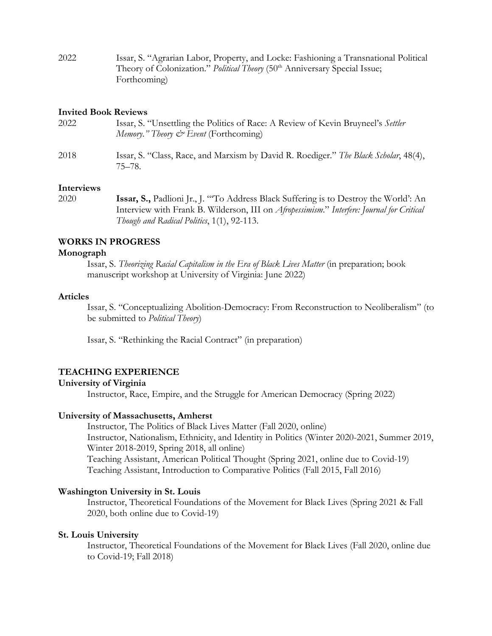| 2022 | Issar, S. "Agrarian Labor, Property, and Locke: Fashioning a Transnational Political          |
|------|-----------------------------------------------------------------------------------------------|
|      | Theory of Colonization." <i>Political Theory</i> (50 <sup>th</sup> Anniversary Special Issue; |
|      | Forthcoming)                                                                                  |

#### **Invited Book Reviews**

| 2022 | Issar, S. "Unsettling the Politics of Race: A Review of Kevin Bruyneel's Settler<br>Memory." Theory $\mathcal O$ Event (Forthcoming) |
|------|--------------------------------------------------------------------------------------------------------------------------------------|
| 2018 | Issar, S. "Class, Race, and Marxism by David R. Roediger." The Black Scholar, 48(4),<br>75–78.                                       |

### **Interviews**

2020 **Issar, S.,** Padlioni Jr., J. "'To Address Black Suffering is to Destroy the World': An Interview with Frank B. Wilderson, III on *Afropessimism*." *Interfere: Journal for Critical Though and Radical Politics*, 1(1), 92-113.

#### **WORKS IN PROGRESS**

#### **Monograph**

Issar, S. *Theorizing Racial Capitalism in the Era of Black Lives Matter* (in preparation; book manuscript workshop at University of Virginia: June 2022)

### **Articles**

Issar, S. "Conceptualizing Abolition-Democracy: From Reconstruction to Neoliberalism" (to be submitted to *Political Theory*)

Issar, S. "Rethinking the Racial Contract" (in preparation)

### **TEACHING EXPERIENCE**

### **University of Virginia**

Instructor, Race, Empire, and the Struggle for American Democracy (Spring 2022)

#### **University of Massachusetts, Amherst**

Instructor, The Politics of Black Lives Matter (Fall 2020, online) Instructor, Nationalism, Ethnicity, and Identity in Politics (Winter 2020-2021, Summer 2019, Winter 2018-2019, Spring 2018, all online) Teaching Assistant, American Political Thought (Spring 2021, online due to Covid-19) Teaching Assistant, Introduction to Comparative Politics (Fall 2015, Fall 2016)

#### **Washington University in St. Louis**

Instructor, Theoretical Foundations of the Movement for Black Lives (Spring 2021 & Fall 2020, both online due to Covid-19)

### **St. Louis University**

Instructor, Theoretical Foundations of the Movement for Black Lives (Fall 2020, online due to Covid-19; Fall 2018)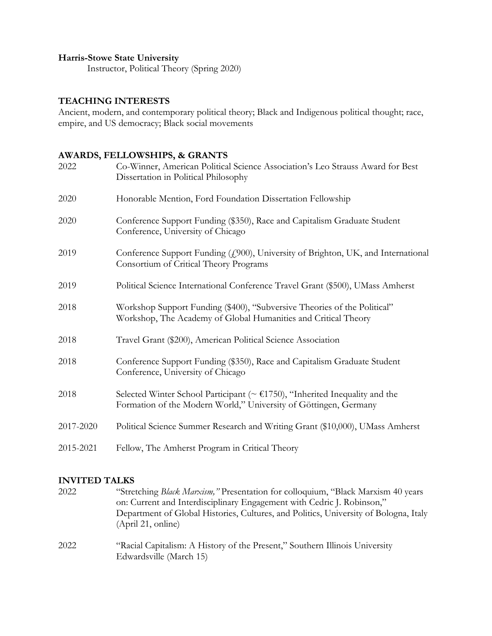# **Harris-Stowe State University**

Instructor, Political Theory (Spring 2020)

## **TEACHING INTERESTS**

Ancient, modern, and contemporary political theory; Black and Indigenous political thought; race, empire, and US democracy; Black social movements

# **AWARDS, FELLOWSHIPS, & GRANTS**

| 2022      | Co-Winner, American Political Science Association's Leo Strauss Award for Best<br>Dissertation in Political Philosophy                                                    |
|-----------|---------------------------------------------------------------------------------------------------------------------------------------------------------------------------|
| 2020      | Honorable Mention, Ford Foundation Dissertation Fellowship                                                                                                                |
| 2020      | Conference Support Funding (\$350), Race and Capitalism Graduate Student<br>Conference, University of Chicago                                                             |
| 2019      | Conference Support Funding (£900), University of Brighton, UK, and International<br>Consortium of Critical Theory Programs                                                |
| 2019      | Political Science International Conference Travel Grant (\$500), UMass Amherst                                                                                            |
| 2018      | Workshop Support Funding (\$400), "Subversive Theories of the Political"<br>Workshop, The Academy of Global Humanities and Critical Theory                                |
| 2018      | Travel Grant (\$200), American Political Science Association                                                                                                              |
| 2018      | Conference Support Funding (\$350), Race and Capitalism Graduate Student<br>Conference, University of Chicago                                                             |
| 2018      | Selected Winter School Participant ( $\sim \text{\textsterling}1750$ ), "Inherited Inequality and the<br>Formation of the Modern World," University of Göttingen, Germany |
| 2017-2020 | Political Science Summer Research and Writing Grant (\$10,000), UMass Amherst                                                                                             |
| 2015-2021 | Fellow, The Amherst Program in Critical Theory                                                                                                                            |

### **INVITED TALKS**

| 2022 | "Stretching <i>Black Marxism</i> ," Presentation for colloquium, "Black Marxism 40 years"              |
|------|--------------------------------------------------------------------------------------------------------|
|      | on: Current and Interdisciplinary Engagement with Cedric J. Robinson,"                                 |
|      | Department of Global Histories, Cultures, and Politics, University of Bologna, Italy                   |
|      | (Apri 21, online)                                                                                      |
| 2022 | "Racial Capitalism: A History of the Present," Southern Illinois University<br>Edwardsville (March 15) |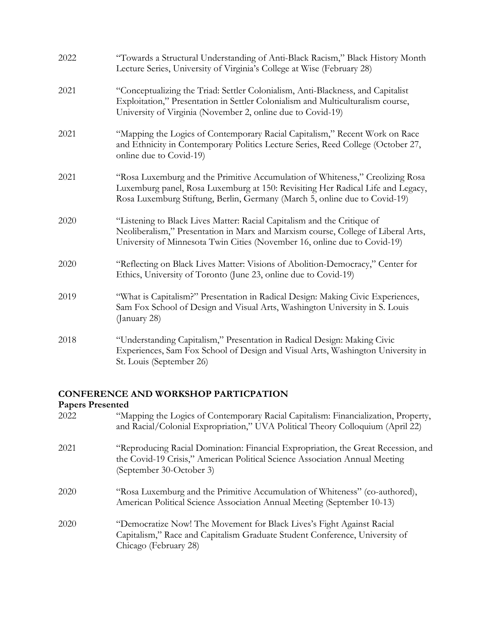| 2022 | "Towards a Structural Understanding of Anti-Black Racism," Black History Month<br>Lecture Series, University of Virginia's College at Wise (February 28)                                                                                       |
|------|------------------------------------------------------------------------------------------------------------------------------------------------------------------------------------------------------------------------------------------------|
| 2021 | "Conceptualizing the Triad: Settler Colonialism, Anti-Blackness, and Capitalist<br>Exploitation," Presentation in Settler Colonialism and Multiculturalism course,<br>University of Virginia (November 2, online due to Covid-19)              |
| 2021 | "Mapping the Logics of Contemporary Racial Capitalism," Recent Work on Race<br>and Ethnicity in Contemporary Politics Lecture Series, Reed College (October 27,<br>online due to Covid-19)                                                     |
| 2021 | "Rosa Luxemburg and the Primitive Accumulation of Whiteness," Creolizing Rosa<br>Luxemburg panel, Rosa Luxemburg at 150: Revisiting Her Radical Life and Legacy,<br>Rosa Luxemburg Stiftung, Berlin, Germany (March 5, online due to Covid-19) |
| 2020 | "Listening to Black Lives Matter: Racial Capitalism and the Critique of<br>Neoliberalism," Presentation in Marx and Marxism course, College of Liberal Arts,<br>University of Minnesota Twin Cities (November 16, online due to Covid-19)      |
| 2020 | "Reflecting on Black Lives Matter: Visions of Abolition-Democracy," Center for<br>Ethics, University of Toronto (June 23, online due to Covid-19)                                                                                              |
| 2019 | "What is Capitalism?" Presentation in Radical Design: Making Civic Experiences,<br>Sam Fox School of Design and Visual Arts, Washington University in S. Louis<br>(January 28)                                                                 |
| 2018 | "Understanding Capitalism," Presentation in Radical Design: Making Civic<br>Experiences, Sam Fox School of Design and Visual Arts, Washington University in<br>St. Louis (September 26)                                                        |

# **CONFERENCE AND WORKSHOP PARTICPATION**

# **Papers Presented**

| 2022 | "Mapping the Logics of Contemporary Racial Capitalism: Financialization, Property,<br>and Racial/Colonial Expropriation," UVA Political Theory Colloquium (April 22)                         |
|------|----------------------------------------------------------------------------------------------------------------------------------------------------------------------------------------------|
| 2021 | "Reproducing Racial Domination: Financial Expropriation, the Great Recession, and<br>the Covid-19 Crisis," American Political Science Association Annual Meeting<br>(September 30-October 3) |
| 2020 | "Rosa Luxemburg and the Primitive Accumulation of Whiteness" (co-authored),<br>American Political Science Association Annual Meeting (September 10-13)                                       |
| 2020 | "Democratize Now! The Movement for Black Lives's Fight Against Racial<br>Capitalism," Race and Capitalism Graduate Student Conference, University of<br>Chicago (February 28)                |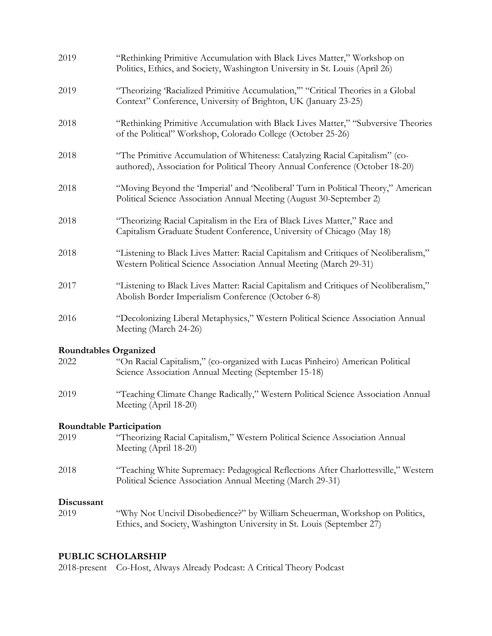| 2019                                                                                                                                                                          | "Rethinking Primitive Accumulation with Black Lives Matter," Workshop on<br>Politics, Ethics, and Society, Washington University in St. Louis (April 26)      |
|-------------------------------------------------------------------------------------------------------------------------------------------------------------------------------|---------------------------------------------------------------------------------------------------------------------------------------------------------------|
| 2019                                                                                                                                                                          | "Theorizing 'Racialized Primitive Accumulation," "Critical Theories in a Global<br>Context" Conference, University of Brighton, UK (January 23-25)            |
| 2018                                                                                                                                                                          | "Rethinking Primitive Accumulation with Black Lives Matter," "Subversive Theories<br>of the Political" Workshop, Colorado College (October 25-26)             |
| 2018                                                                                                                                                                          | "The Primitive Accumulation of Whiteness: Catalyzing Racial Capitalism" (co-<br>authored), Association for Political Theory Annual Conference (October 18-20) |
| 2018                                                                                                                                                                          | "Moving Beyond the 'Imperial' and 'Neoliberal' Turn in Political Theory," American<br>Political Science Association Annual Meeting (August 30-September 2)    |
| 2018                                                                                                                                                                          | "Theorizing Racial Capitalism in the Era of Black Lives Matter," Race and<br>Capitalism Graduate Student Conference, University of Chicago (May 18)           |
| 2018                                                                                                                                                                          | "Listening to Black Lives Matter: Racial Capitalism and Critiques of Neoliberalism,"<br>Western Political Science Association Annual Meeting (March 29-31)    |
| 2017                                                                                                                                                                          | "Listening to Black Lives Matter: Racial Capitalism and Critiques of Neoliberalism,"<br>Abolish Border Imperialism Conference (October 6-8)                   |
| 2016                                                                                                                                                                          | "Decolonizing Liberal Metaphysics," Western Political Science Association Annual<br>Meeting (March 24-26)                                                     |
| <b>Roundtables Organized</b><br>"On Racial Capitalism," (co-organized with Lucas Pinheiro) American Political<br>2022<br>Science Association Annual Meeting (September 15-18) |                                                                                                                                                               |
| 2019                                                                                                                                                                          | "Teaching Climate Change Radically," Western Political Science Association Annual<br>Meeting (April 18-20)                                                    |
| <b>Roundtable Participation</b>                                                                                                                                               |                                                                                                                                                               |
| 2019                                                                                                                                                                          | "Theorizing Racial Capitalism," Western Political Science Association Annual<br>Meeting (April 18-20)                                                         |
| 2018                                                                                                                                                                          | "Teaching White Supremacy: Pedagogical Reflections After Charlottesville," Western<br>Political Science Association Annual Meeting (March 29-31)              |
| Discussant<br>2019                                                                                                                                                            | "Why Not Uncivil Disobedience?" by William Scheuerman, Workshop on Politics,<br>Ethics, and Society, Washington University in St. Louis (September 27)        |

# **PUBLIC SCHOLARSHIP**

2018-present Co-Host, Always Already Podcast: A Critical Theory Podcast